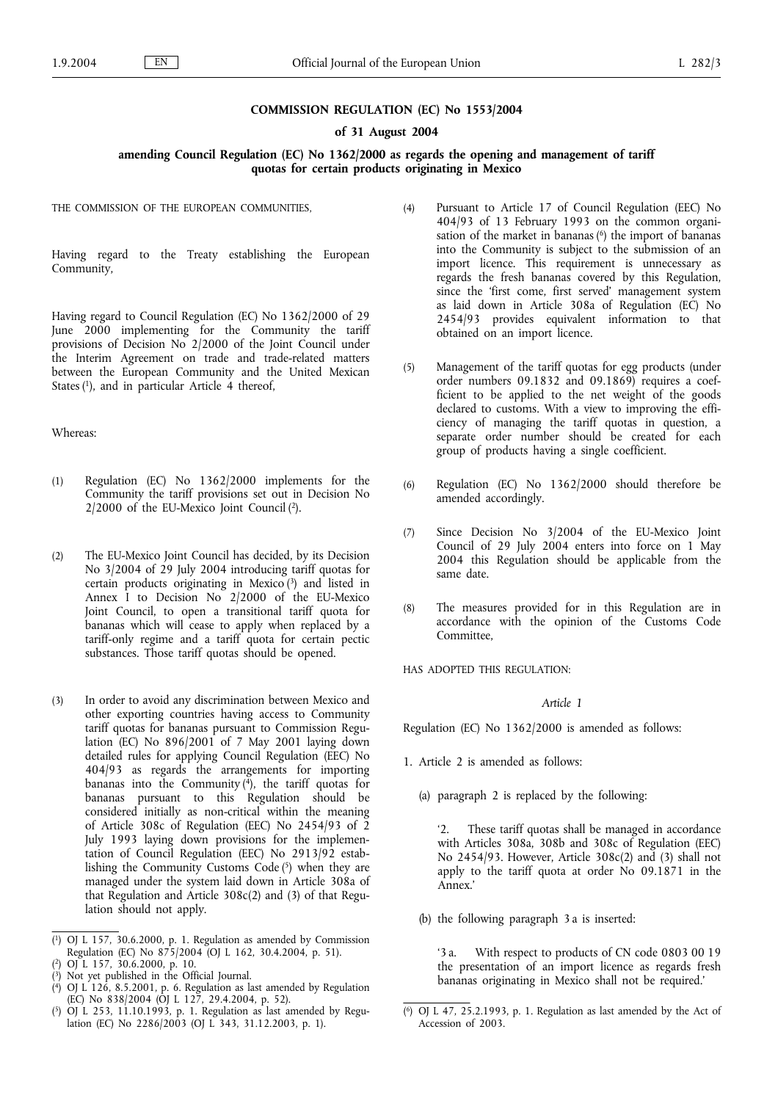#### **COMMISSION REGULATION (EC) No 1553/2004**

### **of 31 August 2004**

### **amending Council Regulation (EC) No 1362/2000 as regards the opening and management of tariff quotas for certain products originating in Mexico**

THE COMMISSION OF THE EUROPEAN COMMUNITIES,

Having regard to the Treaty establishing the European Community,

Having regard to Council Regulation (EC) No 1362/2000 of 29 June 2000 implementing for the Community the tariff provisions of Decision No 2/2000 of the Joint Council under the Interim Agreement on trade and trade-related matters between the European Community and the United Mexican States (1), and in particular Article 4 thereof,

## Whereas:

- (1) Regulation (EC) No 1362/2000 implements for the Community the tariff provisions set out in Decision No 2/2000 of the EU-Mexico Joint Council (2).
- (2) The EU-Mexico Joint Council has decided, by its Decision No 3/2004 of 29 July 2004 introducing tariff quotas for certain products originating in Mexico  $(3)$  and listed in Annex I to Decision No 2/2000 of the EU-Mexico Joint Council, to open a transitional tariff quota for bananas which will cease to apply when replaced by a tariff-only regime and a tariff quota for certain pectic substances. Those tariff quotas should be opened.
- (3) In order to avoid any discrimination between Mexico and other exporting countries having access to Community tariff quotas for bananas pursuant to Commission Regulation (EC) No 896/2001 of 7 May 2001 laying down detailed rules for applying Council Regulation (EEC) No 404/93 as regards the arrangements for importing bananas into the Community (4), the tariff quotas for bananas pursuant to this Regulation should be considered initially as non-critical within the meaning of Article 308c of Regulation (EEC) No 2454/93 of 2 July 1993 laying down provisions for the implementation of Council Regulation (EEC) No 2913/92 establishing the Community Customs Code $(5)$  when they are managed under the system laid down in Article 308a of that Regulation and Article 308c(2) and (3) of that Regulation should not apply.

- ( 2) OJ L 157, 30.6.2000, p. 10.
- ( 3) Not yet published in the Official Journal.
- ( 4) OJ L 126, 8.5.2001, p. 6. Regulation as last amended by Regulation (EC) No 838/2004 (OJ L 127, 29.4.2004, p. 52).
- ( 5) OJ L 253, 11.10.1993, p. 1. Regulation as last amended by Regulation (EC) No  $2286/2003$  (OJ L 343, 31.12.2003, p. 1).
- (4) Pursuant to Article 17 of Council Regulation (EEC) No 404/93 of 13 February 1993 on the common organisation of the market in bananas  $(6)$  the import of bananas into the Community is subject to the submission of an import licence. This requirement is unnecessary as regards the fresh bananas covered by this Regulation, since the 'first come, first served' management system as laid down in Article 308a of Regulation (EC) No 2454/93 provides equivalent information to that obtained on an import licence.
- (5) Management of the tariff quotas for egg products (under order numbers 09.1832 and 09.1869) requires a coefficient to be applied to the net weight of the goods declared to customs. With a view to improving the efficiency of managing the tariff quotas in question, a separate order number should be created for each group of products having a single coefficient.
- (6) Regulation (EC) No 1362/2000 should therefore be amended accordingly.
- (7) Since Decision No 3/2004 of the EU-Mexico Joint Council of 29 July 2004 enters into force on 1 May 2004 this Regulation should be applicable from the same date.
- (8) The measures provided for in this Regulation are in accordance with the opinion of the Customs Code Committee,

HAS ADOPTED THIS REGULATION:

#### *Article 1*

Regulation (EC) No 1362/2000 is amended as follows:

- 1. Article 2 is amended as follows:
	- (a) paragraph 2 is replaced by the following:

'2. These tariff quotas shall be managed in accordance with Articles 308a, 308b and 308c of Regulation (EEC) No 2454/93. However, Article 308c(2) and (3) shall not apply to the tariff quota at order No 09.1871 in the Annex.'

(b) the following paragraph 3 a is inserted:

'3 a. With respect to products of CN code 0803 00 19 the presentation of an import licence as regards fresh bananas originating in Mexico shall not be required.'

<sup>(</sup> 1) OJ L 157, 30.6.2000, p. 1. Regulation as amended by Commission Regulation (EC) No 875/2004 (OJ L 162, 30.4.2004, p. 51).

<sup>(</sup> 6) OJ L 47, 25.2.1993, p. 1. Regulation as last amended by the Act of Accession of 2003.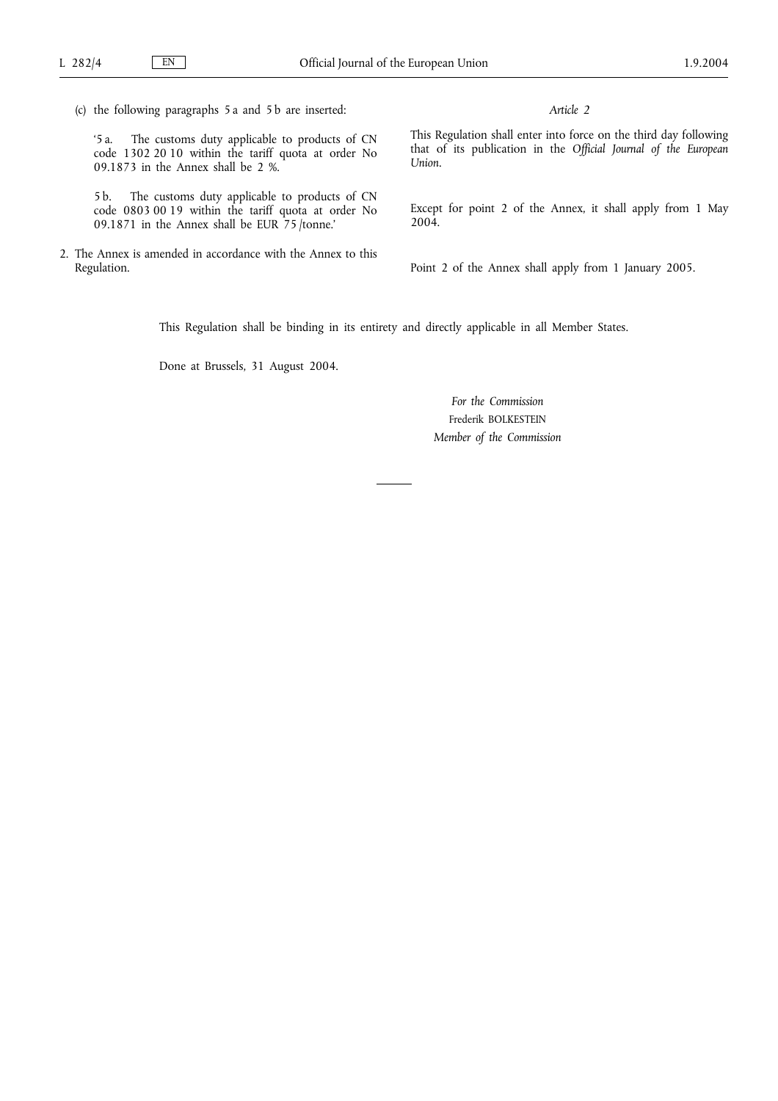(c) the following paragraphs 5 a and 5 b are inserted:

'5 a. The customs duty applicable to products of CN code 1302 20 10 within the tariff quota at order No 09.1873 in the Annex shall be 2 %.

5 b. The customs duty applicable to products of CN code 0803 00 19 within the tariff quota at order No 09.1871 in the Annex shall be EUR 75 /tonne.'

2. The Annex is amended in accordance with the Annex to this Regulation.

*Article 2*

This Regulation shall enter into force on the third day following that of its publication in the *Official Journal of the European Union*.

Except for point 2 of the Annex, it shall apply from 1 May 2004.

Point 2 of the Annex shall apply from 1 January 2005.

This Regulation shall be binding in its entirety and directly applicable in all Member States.

Done at Brussels, 31 August 2004.

*For the Commission* Frederik BOLKESTEIN *Member of the Commission*